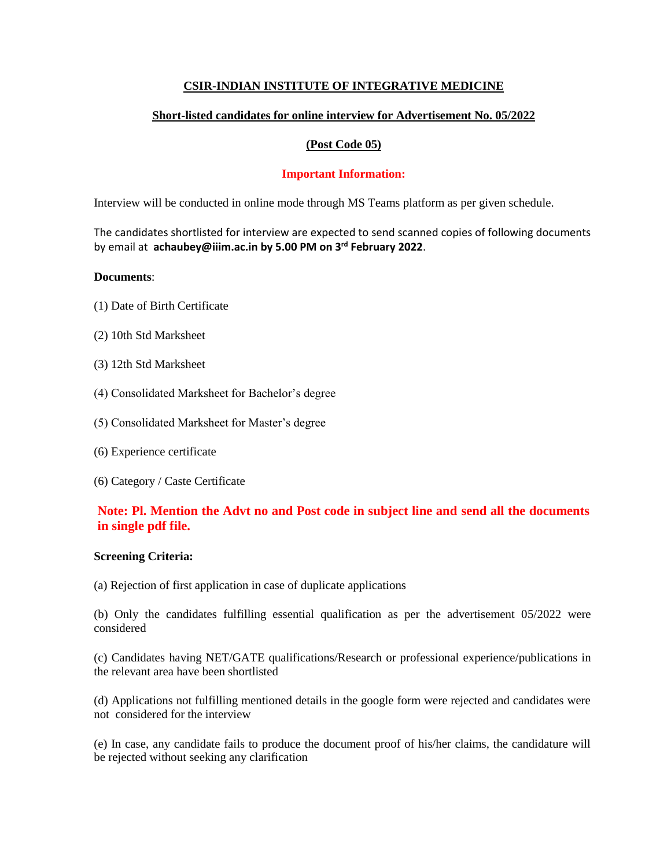## **CSIR-INDIAN INSTITUTE OF INTEGRATIVE MEDICINE**

# **Short-listed candidates for online interview for Advertisement No. 05/2022**

## **(Post Code 05)**

## **Important Information:**

Interview will be conducted in online mode through MS Teams platform as per given schedule.

The candidates shortlisted for interview are expected to send scanned copies of following documents by email at **achaubey@iiim.ac.in by 5.00 PM on 3rd February 2022**.

## **Documents**:

- (1) Date of Birth Certificate
- (2) 10th Std Marksheet
- (3) 12th Std Marksheet
- (4) Consolidated Marksheet for Bachelor's degree
- (5) Consolidated Marksheet for Master's degree
- (6) Experience certificate
- (6) Category / Caste Certificate

# **Note: Pl. Mention the Advt no and Post code in subject line and send all the documents in single pdf file.**

### **Screening Criteria:**

(a) Rejection of first application in case of duplicate applications

(b) Only the candidates fulfilling essential qualification as per the advertisement 05/2022 were considered

(c) Candidates having NET/GATE qualifications/Research or professional experience/publications in the relevant area have been shortlisted

(d) Applications not fulfilling mentioned details in the google form were rejected and candidates were not considered for the interview

(e) In case, any candidate fails to produce the document proof of his/her claims, the candidature will be rejected without seeking any clarification